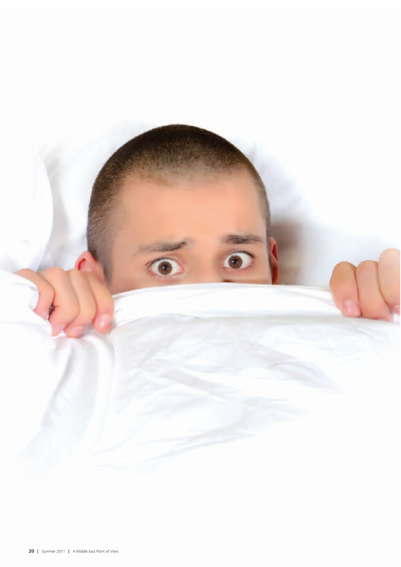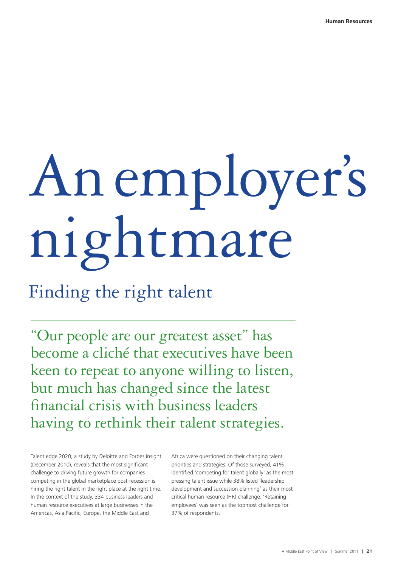# An employer's nightmare

# Finding the right talent

"Our people are our greatest asset" has become a cliché that executives have been keen to repeat to anyone willing to listen, but much has changed since the latest financial crisis with business leaders having to rethink their talent strategies.

Talent edge 2020, a study by Deloitte and Forbes insight (December 2010), reveals that the most significant challenge to driving future growth for companies competing in the global marketplace post-recession is hiring the right talent in the right place at the right time. In the context of the study, 334 business leaders and human resource executives at large businesses in the Americas, Asia Pacific, Europe, the Middle East and

Africa were questioned on their changing talent priorities and strategies. Of those surveyed, 41% identified 'competing for talent globally' as the most pressing talent issue while 38% listed 'leadership development and succession planning' as their most critical human resource (HR) challenge. 'Retaining employees' was seen as the topmost challenge for 37% of respondents.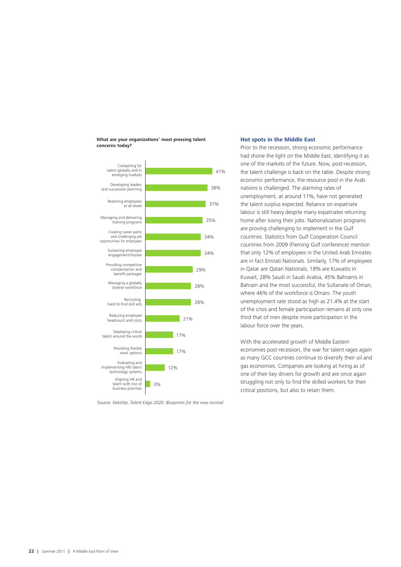#### **What are your organizations' most pressing talent concerns today?**



Source: Deloitte, *Talent Edge 2020: Blueprints for the new normal*

## **Hot spots in the Middle East**

Prior to the recession, strong economic performance had shone the light on the Middle East, identifying it as one of the markets of the future. Now, post-recession, the talent challenge is back on the table. Despite strong economic performance, the resource pool in the Arab nations is challenged. The alarming rates of unemployment, at around 11%, have not generated the talent surplus expected. Reliance on expatriate labour is still heavy despite many expatriates returning home after losing their jobs. Nationalization programs are proving challenging to implement in the Gulf countries. Statistics from Gulf Cooperation Council countries from 2009 (Fleming Gulf conference) mention that only 12% of employees in the United Arab Emirates are in fact Emirati Nationals. Similarly, 17% of employees in Qatar are Qatari Nationals, 18% are Kuwaitis in Kuwait, 28% Saudi in Saudi Arabia, 45% Bahrainis in Bahrain and the most successful, the Sultanate of Oman, where 46% of the workforce is Omani. The youth unemployment rate stood as high as 21.4% at the start of the crisis and female participation remains at only one third that of men despite more participation in the labour force over the years.

With the accelerated growth of Middle Eastern economies post-recession, the war for talent rages again as many GCC countries continue to diversify their oil and gas economies. Companies are looking at hiring as of one of their key drivers for growth and are once again struggling not only to find the skilled workers for their critical positions, but also to retain them.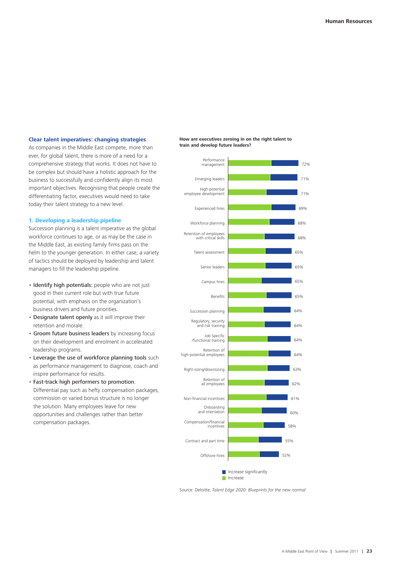#### **Clear talent imperatives: changing strategies**

As companies in the Middle East compete, more than ever, for global talent, there is more of a need for a comprehensive strategy that works. It does not have to be complex but should have a holistic approach for the business to successfully and confidently align its most important objectives. Recognising that people create the differentiating factor, executives would need to take today their talent strategy to a new level.

**1. Developing a leadership pipeline** 

Succession planning is a talent imperative as the global workforce continues to age, or as may be the case in the Middle East, as existing family firms pass on the helm to the younger generation. In either case, a variety of tactics should be deployed by leadership and talent managers to fill the leadership pipeline.

- Identify high potentials: people who are not just good in their current role but with true future potential, with emphasis on the organization's business drivers and future priorities.
- Designate talent openly as it will improve their retention and morale.
- Groom future business leaders by increasing focus on their development and enrolment in accelerated leadership programs.
- Leverage the use of workforce planning tools such as performance management to diagnose, coach and inspire performance for results.
- Fast-track high performers to promotion. Differential pay such as hefty compensation packages, commission or varied bonus structure is no longer the solution. Many employees leave for new opportunities and challenges rather than better compensation packages.

#### **How are executives zeroing in on the right talent to train and develop future leaders?**



Source: Deloitte, *Talent Edge 2020: Blueprints for the new normal*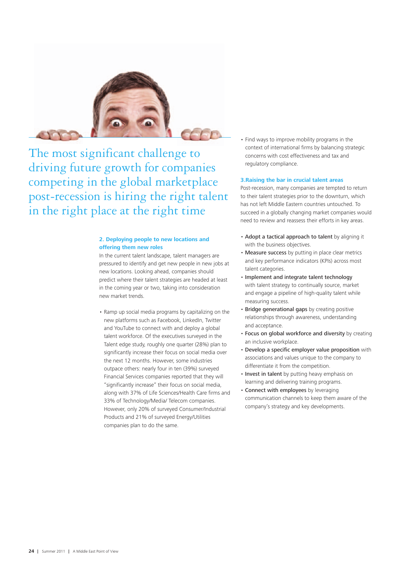

The most significant challenge to driving future growth for companies competing in the global marketplace post-recession is hiring the right talent in the right place at the right time

# **2. Deploying people to new locations and offering them new roles**

In the current talent landscape, talent managers are pressured to identify and get new people in new jobs at new locations. Looking ahead, companies should predict where their talent strategies are headed at least in the coming year or two, taking into consideration new market trends.

• Ramp up social media programs by capitalizing on the new platforms such as Facebook, LinkedIn, Twitter and YouTube to connect with and deploy a global talent workforce. Of the executives surveyed in the Talent edge study, roughly one quarter (28%) plan to significantly increase their focus on social media over the next 12 months. However, some industries outpace others: nearly four in ten (39%) surveyed Financial Services companies reported that they will "significantly increase" their focus on social media, along with 37% of Life Sciences/Health Care firms and 33% of Technology/Media/ Telecom companies. However, only 20% of surveyed Consumer/Industrial Products and 21% of surveyed Energy/Utilities companies plan to do the same.

• Find ways to improve mobility programs in the context of international firms by balancing strategic concerns with cost effectiveness and tax and regulatory compliance.

# **3.Raising the bar in crucial talent areas**

Post-recession, many companies are tempted to return to their talent strategies prior to the downturn, which has not left Middle Eastern countries untouched. To succeed in a globally changing market companies would need to review and reassess their efforts in key areas.

- Adopt a tactical approach to talent by aligning it with the business objectives.
- Measure success by putting in place clear metrics and key performance indicators (KPIs) across most talent categories.
- Implement and integrate talent technology with talent strategy to continually source, market and engage a pipeline of high-quality talent while measuring success.
- Bridge generational gaps by creating positive relationships through awareness, understanding and acceptance.
- Focus on global workforce and diversity by creating an inclusive workplace.
- Develop a specific employer value proposition with associations and values unique to the company to differentiate it from the competition.
- Invest in talent by putting heavy emphasis on learning and delivering training programs.
- Connect with employees by leveraging communication channels to keep them aware of the company's strategy and key developments.